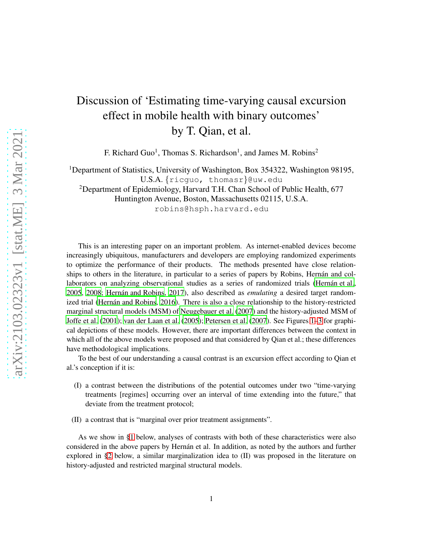# Discussion of 'Estimating time-varying causal excursion effect in mobile health with binary outcomes' by T. Qian, et al.

F. Richard Guo<sup>1</sup>, Thomas S. Richardson<sup>1</sup>, and James M. Robins<sup>2</sup>

<sup>1</sup>Department of Statistics, University of Washington, Box 354322, Washington 98195,

```
U.S.A. {ricguo, thomasr}@uw.edu
```
<sup>2</sup>Department of Epidemiology, Harvard T.H. Chan School of Public Health, 677

Huntington Avenue, Boston, Massachusetts 02115, U.S.A.

robins@hsph.harvard.edu

This is an interesting paper on an important problem. As internet-enabled devices become increasingly ubiquitous, manufacturers and developers are employing randomized experiments to optimize the performance of their products. The methods presented have close relationships to others in the literature, in particular to a series of papers by Robins, Hernán and collaborators on analyzing observational studies as a series of randomized trials (Hernán et al., [2005](#page-10-0), [2008;](#page-10-1) Hernán and Robins, [2017](#page-10-2)), also described as *emulating* a desired target random-ized trial (Hernán and Robins, [2016](#page-10-3)). There is also a close relationship to the history-restricted marginal structural models (MSM) of [Neugebauer et al. \(2007](#page-10-4)) and the history-adjusted MSM of [Joffe et al. \(2001\)](#page-10-5); [van der Laan et al. \(2005\)](#page-11-0); [Petersen et al. \(2007](#page-10-6)). See Figures [1–](#page-3-0)[3](#page-4-0) for graphical depictions of these models. However, there are important differences between the context in which all of the above models were proposed and that considered by Qian et al.; these differences have methodological implications.

To the best of our understanding a causal contrast is an excursion effect according to Qian et al.'s conception if it is:

- (I) a contrast between the distributions of the potential outcomes under two "time-varying treatments [regimes] occurring over an interval of time extending into the future," that deviate from the treatment protocol;
- (II) a contrast that is "marginal over prior treatment assignments".

As we show in [§1](#page-1-0) below, analyses of contrasts with both of these characteristics were also considered in the above papers by Hernán et al. In addition, as noted by the authors and further explored in [§2](#page-5-0) below, a similar marginalization idea to (II) was proposed in the literature on history-adjusted and restricted marginal structural models.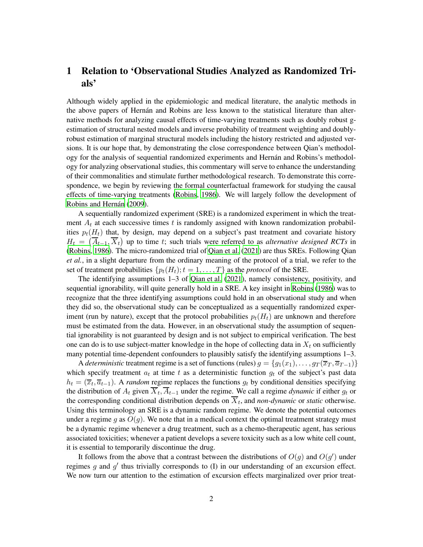# <span id="page-1-0"></span>1 Relation to 'Observational Studies Analyzed as Randomized Trials'

Although widely applied in the epidemiologic and medical literature, the analytic methods in the above papers of Hernán and Robins are less known to the statistical literature than alternative methods for analyzing causal effects of time-varying treatments such as doubly robust gestimation of structural nested models and inverse probability of treatment weighting and doublyrobust estimation of marginal structural models including the history restricted and adjusted versions. It is our hope that, by demonstrating the close correspondence between Qian's methodology for the analysis of sequential randomized experiments and Hernán and Robins's methodology for analyzing observational studies, this commentary will serve to enhance the understanding of their commonalities and stimulate further methodological research. To demonstrate this correspondence, we begin by reviewing the formal counterfactual framework for studying the causal effects of time-varying treatments [\(Robins, 1986](#page-11-1)). We will largely follow the development of Robins and Hernán (2009).

A sequentially randomized experiment (SRE) is a randomized experiment in which the treatment  $A_t$  at each successive times t is randomly assigned with known randomization probabilities  $p_t(H_t)$  that, by design, may depend on a subject's past treatment and covariate history  $H_t = (\overline{A}_{t-1}, \overline{X}_t)$  up to time t; such trials were referred to as *alternative designed RCTs* in [\(Robins, 1986\)](#page-11-1). The micro-randomized trial of [Qian et al. \(2021\)](#page-10-7) are thus SREs. Following Qian *et al.*, in a slight departure from the ordinary meaning of the protocol of a trial, we refer to the set of treatment probabilities  $\{p_t(H_t); t = 1, \ldots, T\}$  as the *protocol* of the SRE.

The identifying assumptions 1–3 of [Qian et al. \(2021](#page-10-7)), namely consistency, positivity, and sequential ignorability, will quite generally hold in a SRE. A key insight in [Robins](#page-11-1) [\(1986](#page-11-1)) was to recognize that the three identifying assumptions could hold in an observational study and when they did so, the observational study can be conceptualized as a sequentially randomized experiment (run by nature), except that the protocol probabilities  $p_t(H_t)$  are unknown and therefore must be estimated from the data. However, in an observational study the assumption of sequential ignorability is not guaranteed by design and is not subject to empirical verification. The best one can do is to use subject-matter knowledge in the hope of collecting data in  $X_t$  on sufficiently many potential time-dependent confounders to plausibly satisfy the identifying assumptions 1–3.

A *deterministic* treatment regime is a set of functions (rules)  $g = \{g_1(x_1), \ldots, g_T(\overline{x}_T, \overline{a}_{T-1})\}$ which specify treatment  $a_t$  at time t as a deterministic function  $g_t$  of the subject's past data  $h_t = (\overline{x}_t, \overline{a}_{t-1})$ . A *random* regime replaces the functions  $g_t$  by conditional densities specifying the distribution of  $A_t$  given  $X_t$ ,  $A_{t-1}$  under the regime. We call a regime *dynamic* if either  $g_t$  or the corresponding conditional distribution depends on  $X_t$ , and *non-dynamic* or *static* otherwise. Using this terminology an SRE is a dynamic random regime. We denote the potential outcomes under a regime q as  $O(q)$ . We note that in a medical context the optimal treatment strategy must be a dynamic regime whenever a drug treatment, such as a chemo-therapeutic agent, has serious associated toxicities; whenever a patient develops a severe toxicity such as a low white cell count, it is essential to temporarily discontinue the drug.

It follows from the above that a contrast between the distributions of  $O(g)$  and  $O(g')$  under regimes  $g$  and  $g'$  thus trivially corresponds to  $(I)$  in our understanding of an excursion effect. We now turn our attention to the estimation of excursion effects marginalized over prior treat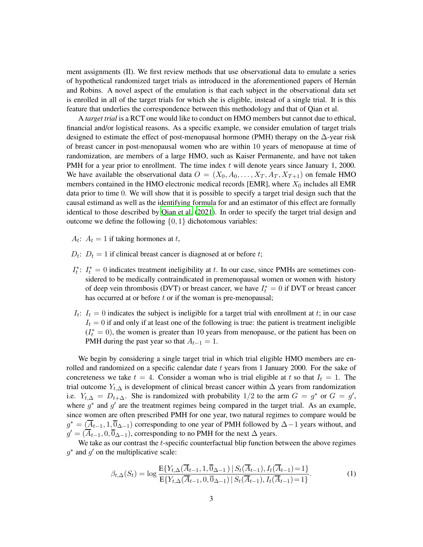ment assignments (II). We first review methods that use observational data to emulate a series of hypothetical randomized target trials as introduced in the aforementioned papers of Hern´an and Robins. A novel aspect of the emulation is that each subject in the observational data set is enrolled in all of the target trials for which she is eligible, instead of a single trial. It is this feature that underlies the correspondence between this methodology and that of Qian et al.

A *target trial* is a RCT one would like to conduct on HMO members but cannot due to ethical, financial and/or logistical reasons. As a specific example, we consider emulation of target trials designed to estimate the effect of post-menopausal hormone (PMH) therapy on the  $\Delta$ -year risk of breast cancer in post-menopausal women who are within 10 years of menopause at time of randomization, are members of a large HMO, such as Kaiser Permanente, and have not taken PMH for a year prior to enrollment. The time index  $t$  will denote years since January 1, 2000. We have available the observational data  $O = (X_0, A_0, \ldots, X_T, A_T, X_{T+1})$  on female HMO members contained in the HMO electronic medical records [EMR], where  $X_0$  includes all EMR data prior to time 0. We will show that it is possible to specify a target trial design such that the causal estimand as well as the identifying formula for and an estimator of this effect are formally identical to those described by [Qian et al.](#page-10-7) [\(2021](#page-10-7)). In order to specify the target trial design and outcome we define the following  $\{0, 1\}$  dichotomous variables:

 $A_t$ :  $A_t = 1$  if taking hormones at t,

- $D_t$ :  $D_t = 1$  if clinical breast cancer is diagnosed at or before t;
- $I_t^*$ :  $I_t^* = 0$  indicates treatment ineligibility at t. In our case, since PMHs are sometimes considered to be medically contraindicated in premenopausal women or women with history of deep vein thrombosis (DVT) or breast cancer, we have  $I_t^* = 0$  if DVT or breast cancer has occurred at or before  $t$  or if the woman is pre-menopausal;
- $I_t$ :  $I_t = 0$  indicates the subject is ineligible for a target trial with enrollment at t; in our case  $I_t = 0$  if and only if at least one of the following is true: the patient is treatment ineligible  $(I_t^* = 0)$ , the women is greater than 10 years from menopause, or the patient has been on PMH during the past year so that  $A_{t-1} = 1$ .

We begin by considering a single target trial in which trial eligible HMO members are enrolled and randomized on a specific calendar date  $t$  years from 1 January 2000. For the sake of concreteness we take  $t = 4$ . Consider a woman who is trial eligible at t so that  $I_t = 1$ . The trial outcome  $Y_{t,\Delta}$  is development of clinical breast cancer within  $\Delta$  years from randomization i.e.  $Y_{t,\Delta} = D_{t+\Delta}$ . She is randomized with probability 1/2 to the arm  $G = g^*$  or  $G = g'$ , where  $g^*$  and  $g'$  are the treatment regimes being compared in the target trial. As an example, since women are often prescribed PMH for one year, two natural regimes to compare would be  $g^* = (\overline{A}_{t-1}, 1, \overline{0}_{\Delta-1})$  corresponding to one year of PMH followed by  $\Delta-1$  years without, and  $g' = (\overline{A}_{t-1}, 0, \overline{0}_{\Delta-1})$ , corresponding to no PMH for the next  $\Delta$  years.

We take as our contrast the *t*-specific counterfactual blip function between the above regimes  $g^*$  and  $g'$  on the multiplicative scale:

<span id="page-2-0"></span>
$$
\beta_{t,\Delta}(S_t) = \log \frac{\mathbb{E}\{Y_{t,\Delta}(\overline{A}_{t-1}, 1, \overline{0}_{\Delta-1}) \mid S_t(\overline{A}_{t-1}), I_t(\overline{A}_{t-1}) = 1\}}{\mathbb{E}\{Y_{t,\Delta}(\overline{A}_{t-1}, 0, \overline{0}_{\Delta-1}) \mid S_t(\overline{A}_{t-1}), I_t(\overline{A}_{t-1}) = 1\}}.
$$
\n(1)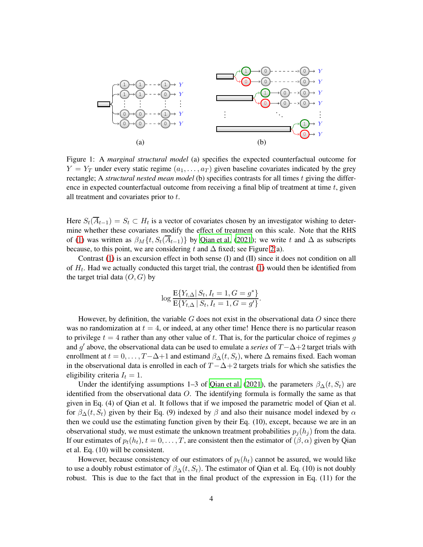<span id="page-3-0"></span>

Figure 1: A *marginal structural model* (a) specifies the expected counterfactual outcome for  $Y = Y_T$  under every static regime  $(a_1, \ldots, a_T)$  given baseline covariates indicated by the grey rectangle; A *structural nested mean model* (b) specifies contrasts for all times t giving the difference in expected counterfactual outcome from receiving a final blip of treatment at time  $t$ , given all treatment and covariates prior to t.

Here  $S_t(A_{t-1}) = S_t \subset H_t$  is a vector of covariates chosen by an investigator wishing to determine whether these covariates modify the effect of treatment on this scale. Note that the RHS of [\(1\)](#page-2-0) was written as  $\beta_M\{t, S_t(\overline{A}_{t-1})\}$  by [Qian et al.](#page-10-7) [\(2021](#page-10-7)); we write t and  $\Delta$  as subscripts because, to this point, we are considering t and  $\Delta$  fixed; see Figure [2\(](#page-4-1)a).

Contrast [\(1\)](#page-2-0) is an excursion effect in both sense (I) and (II) since it does not condition on all of  $H_t$ . Had we actually conducted this target trial, the contrast [\(1\)](#page-2-0) would then be identified from the target trial data  $(O, G)$  by

$$
\log \frac{E\{Y_{t,\Delta} | S_t, I_t = 1, G = g^*\}}{E\{Y_{t,\Delta} | S_t, I_t = 1, G = g'\}}.
$$

However, by definition, the variable  $G$  does not exist in the observational data  $O$  since there was no randomization at  $t = 4$ , or indeed, at any other time! Hence there is no particular reason to privilege  $t = 4$  rather than any other value of t. That is, for the particular choice of regimes g and g ′ above, the observational data can be used to emulate a *series* of T−∆+2 target trials with enrollment at  $t = 0, \ldots, T-\Delta+1$  and estimand  $\beta_{\Delta}(t, S_t)$ , where  $\Delta$  remains fixed. Each woman in the observational data is enrolled in each of  $T - \Delta + 2$  targets trials for which she satisfies the eligibility criteria  $I_t = 1$ .

Under the identifying assumptions 1–3 of [Qian et al. \(2021](#page-10-7)), the parameters  $\beta_{\Delta}(t, S_t)$  are identified from the observational data O. The identifying formula is formally the same as that given in Eq. (4) of Qian et al. It follows that if we imposed the parametric model of Qian et al. for  $\beta_{\Delta}(t, S_t)$  given by their Eq. (9) indexed by  $\beta$  and also their nuisance model indexed by  $\alpha$ then we could use the estimating function given by their Eq. (10), except, because we are in an observational study, we must estimate the unknown treatment probabilities  $p_i(h_i)$  from the data. If our estimates of  $p_t(h_t)$ ,  $t = 0, \ldots, T$ , are consistent then the estimator of  $(\beta, \alpha)$  given by Qian et al. Eq. (10) will be consistent.

However, because consistency of our estimators of  $p_t(h_t)$  cannot be assured, we would like to use a doubly robust estimator of  $\beta_{\Delta}(t, S_t)$ . The estimator of Qian et al. Eq. (10) is not doubly robust. This is due to the fact that in the final product of the expression in Eq. (11) for the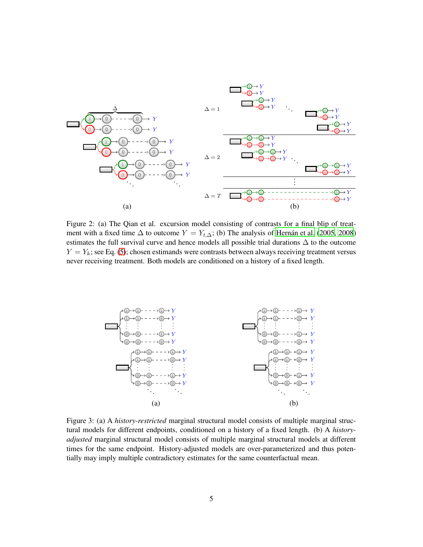<span id="page-4-1"></span>

Figure 2: (a) The Qian et al. excursion model consisting of contrasts for a final blip of treatment with a fixed time  $\Delta$  to outcome  $Y = Y_{t,\Delta}$ ; (b) The analysis of Hernán et al. (2005, [2008](#page-10-1)) estimates the full survival curve and hence models all possible trial durations ∆ to the outcome  $Y = Y_k$ ; see Eq. [\(5\)](#page-7-0); chosen estimands were contrasts between always receiving treatment versus never receiving treatment. Both models are conditioned on a history of a fixed length.

<span id="page-4-0"></span>

Figure 3: (a) A *history-restricted* marginal structural model consists of multiple marginal structural models for different endpoints, conditioned on a history of a fixed length. (b) A *historyadjusted* marginal structural model consists of multiple marginal structural models at different times for the same endpoint. History-adjusted models are over-parameterized and thus potentially may imply multiple contradictory estimates for the same counterfactual mean.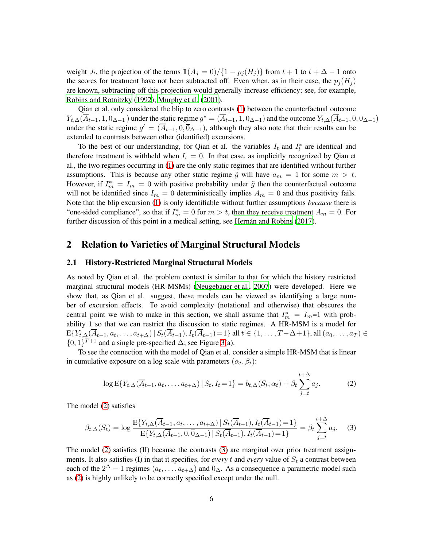weight  $J_t$ , the projection of the terms  $\mathbb{1}(A_j = 0) / \{1 - p_j(H_j)\}\$  from  $t + 1$  to  $t + \Delta - 1$  onto the scores for treatment have not been subtracted off. Even when, as in their case, the  $p_i(H_i)$ are known, subtracting off this projection would generally increase efficiency; see, for example, [Robins and Rotnitzky](#page-11-3) [\(1992](#page-11-3)); [Murphy et al. \(2001](#page-10-8)).

Qian et al. only considered the blip to zero contrasts [\(1\)](#page-2-0) between the counterfactual outcome  $Y_{t,\Delta}(\overline{A}_{t-1},1,\overline{0}_{\Delta-1})$  under the static regime  $g^* = (\overline{A}_{t-1},1,\overline{0}_{\Delta-1})$  and the outcome  $Y_{t,\Delta}(\overline{A}_{t-1},0,\overline{0}_{\Delta-1})$ under the static regime  $g' = (\overline{A}_{t-1}, 0, \overline{0}_{\Delta-1})$ , although they also note that their results can be extended to contrasts between other (identified) excursions.

To the best of our understanding, for Qian et al. the variables  $I_t$  and  $I_t^*$  are identical and therefore treatment is withheld when  $I_t = 0$ . In that case, as implicitly recognized by Qian et al., the two regimes occurring in [\(1\)](#page-2-0) are the only static regimes that are identified without further assumptions. This is because any other static regime  $\tilde{g}$  will have  $a_m = 1$  for some  $m > t$ . However, if  $I_m^* = I_m = 0$  with positive probability under  $\tilde{g}$  then the counterfactual outcome will not be identified since  $I_m = 0$  deterministically implies  $A_m = 0$  and thus positivity fails. Note that the blip excursion [\(1\)](#page-2-0) is only identifiable without further assumptions *because* there is "one-sided compliance", so that if  $I_m^* = 0$  for  $m > t$ , then they receive treatment  $A_m = 0$ . For further discussion of this point in a medical setting, see Hernán and Robins (2017).

### <span id="page-5-0"></span>2 Relation to Varieties of Marginal Structural Models

#### 2.1 History-Restricted Marginal Structural Models

As noted by Qian et al. the problem context is similar to that for which the history restricted marginal structural models (HR-MSMs) [\(Neugebauer et al.](#page-10-4), [2007](#page-10-4)) were developed. Here we show that, as Qian et al. suggest, these models can be viewed as identifying a large number of excursion effects. To avoid complexity (notational and otherwise) that obscures the central point we wish to make in this section, we shall assume that  $I_m^* = I_m = 1$  with probability 1 so that we can restrict the discussion to static regimes. A HR-MSM is a model for  $\mathbb{E}\{Y_{t,\Delta}(A_{t-1}, a_t, \ldots, a_{t+\Delta}) | S_t(A_{t-1}), I_t(A_{t-1}) = 1\}$  all  $t \in \{1, \ldots, T-\Delta+1\}$ , all  $(a_0, \ldots, a_T) \in$  ${0,1}^{T+1}$  and a single pre-specified  $\Delta$ ; see Figure [3\(](#page-4-0)a).

To see the connection with the model of Qian et al. consider a simple HR-MSM that is linear in cumulative exposure on a log scale with parameters  $(\alpha_t, \beta_t)$ :

<span id="page-5-1"></span>
$$
\log E\{Y_{t,\Delta}(\overline{A}_{t-1}, a_t, \dots, a_{t+\Delta}) \, | \, S_t, I_t = 1\} = b_{t,\Delta}(S_t; \alpha_t) + \beta_t \sum_{j=t}^{t+\Delta} a_j. \tag{2}
$$

The model [\(2\)](#page-5-1) satisfies

<span id="page-5-2"></span>
$$
\beta_{t,\Delta}(S_t) = \log \frac{\mathbb{E}\{Y_{t,\Delta}(\overline{A}_{t-1}, a_t, \dots, a_{t+\Delta}) \mid S_t(\overline{A}_{t-1}), I_t(\overline{A}_{t-1}) = 1\}}{\mathbb{E}\{Y_{t,\Delta}(\overline{A}_{t-1}, 0, \overline{0}_{\Delta-1}) \mid S_t(\overline{A}_{t-1}), I_t(\overline{A}_{t-1}) = 1\}} = \beta_t \sum_{j=t}^{t+\Delta} a_j.
$$
 (3)

The model [\(2\)](#page-5-1) satisfies (II) because the contrasts [\(3\)](#page-5-2) are marginal over prior treatment assignments. It also satisfies (I) in that it specifies, for *every* t and *every* value of  $S_t$  a contrast between each of the  $2^{\Delta} - 1$  regimes  $(a_t, \ldots, a_{t+\Delta})$  and  $\overline{0}_{\Delta}$ . As a consequence a parametric model such as [\(2\)](#page-5-1) is highly unlikely to be correctly specified except under the null.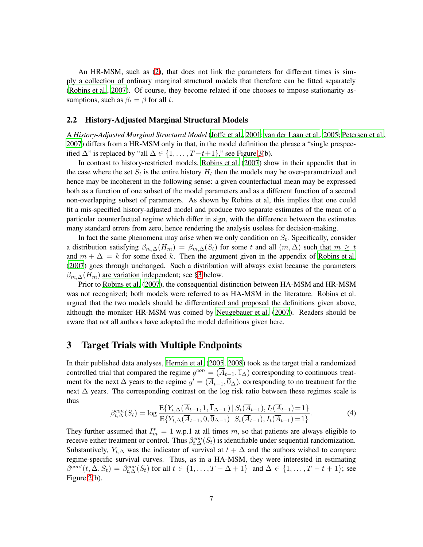An HR-MSM, such as [\(2\)](#page-5-1), that does not link the parameters for different times is simply a collection of ordinary marginal structural models that therefore can be fitted separately [\(Robins et al., 2007\)](#page-11-4). Of course, they become related if one chooses to impose stationarity assumptions, such as  $\beta_t = \beta$  for all t.

#### 2.2 History-Adjusted Marginal Structural Models

A *History-Adjusted Marginal Structural Model* [\(Joffe et al., 2001](#page-10-5); [van der Laan et al.](#page-11-0), [2005;](#page-11-0) [Petersen et al.,](#page-10-6) [2007](#page-10-6)) differs from a HR-MSM only in that, in the model definition the phrase a "single prespecified  $\Delta$ " is replaced by "all  $\Delta \in \{1, ..., T - t + 1\}$ ," see Figure [3\(](#page-4-0)b).

In contrast to history-restricted models, [Robins et al. \(2007](#page-11-4)) show in their appendix that in the case where the set  $S_t$  is the entire history  $H_t$  then the models may be over-parametrized and hence may be incoherent in the following sense: a given counterfactual mean may be expressed both as a function of one subset of the model parameters and as a different function of a second non-overlapping subset of parameters. As shown by Robins et al, this implies that one could fit a mis-specified history-adjusted model and produce two separate estimates of the mean of a particular counterfactual regime which differ in sign, with the difference between the estimates many standard errors from zero, hence rendering the analysis useless for decision-making.

In fact the same phenomena may arise when we only condition on  $S_t$ . Specifically, consider a distribution satisfying  $\beta_{m,\Delta}(H_m) = \beta_{m,\Delta}(S_t)$  for some t and all  $(m,\Delta)$  such that  $m \geq t$ and  $m + \Delta = k$  for some fixed k. Then the argument given in the appendix of [Robins et al.](#page-11-4) [\(2007\)](#page-11-4) goes through unchanged. Such a distribution will always exist because the parameters  $\beta_{m,\Delta}(H_m)$  are variation independent; see [§3](#page-6-0) below.

Prior to [Robins et al.](#page-11-4) [\(2007](#page-11-4)), the consequential distinction between HA-MSM and HR-MSM was not recognized; both models were referred to as HA-MSM in the literature. Robins et al. argued that the two models should be differentiated and proposed the definitions given above, although the moniker HR-MSM was coined by [Neugebauer et al.](#page-10-4) [\(2007](#page-10-4)). Readers should be aware that not all authors have adopted the model definitions given here.

## <span id="page-6-0"></span>3 Target Trials with Multiple Endpoints

In their published data analyses, Hernán et al. [\(2005](#page-10-0), [2008](#page-10-1)) took as the target trial a randomized controlled trial that compared the regime  $g^{con} = (\overline{A}_{t-1}, \overline{1}_{\Delta})$  corresponding to continuous treatment for the next  $\Delta$  years to the regime  $g' = (\overline{A}_{t-1}, \overline{0}_{\Delta})$ , corresponding to no treatment for the next ∆ years. The corresponding contrast on the log risk ratio between these regimes scale is thus

<span id="page-6-1"></span>
$$
\beta_{t,\Delta}^{con}(S_t) = \log \frac{E\{Y_{t,\Delta}(\overline{A}_{t-1}, 1, \overline{1}_{\Delta-1}) \mid S_t(\overline{A}_{t-1}), I_t(\overline{A}_{t-1}) = 1\}}{E\{Y_{t,\Delta}(\overline{A}_{t-1}, 0, \overline{0}_{\Delta-1}) \mid S_t(\overline{A}_{t-1}), I_t(\overline{A}_{t-1}) = 1\}}.
$$
(4)

They further assumed that  $I_m^* = 1$  w.p.1 at all times m, so that patients are always eligible to receive either treatment or control. Thus  $\beta_{t,\Delta}^{con}(S_t)$  is identifiable under sequential randomization. Substantively,  $Y_{t,\Delta}$  was the indicator of survival at  $t + \Delta$  and the authors wished to compare regime-specific survival curves. Thus, as in a HA-MSM, they were interested in estimating  $\beta^{cont}(t, \Delta, S_t) = \beta_{t, \Delta}^{cont}(S_t)$  for all  $t \in \{1, \ldots, T - \Delta + 1\}$  and  $\Delta \in \{1, \ldots, T - t + 1\}$ ; see Figure [2\(](#page-4-1)b).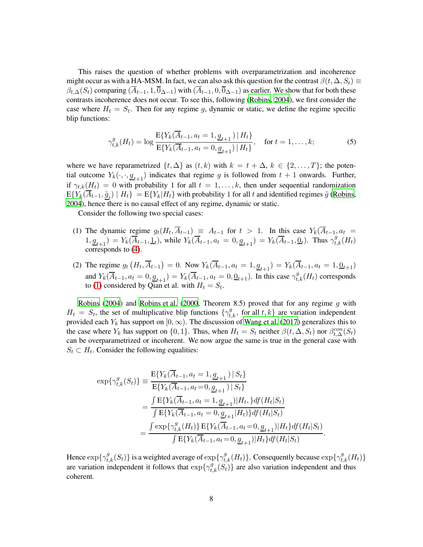This raises the question of whether problems with overparametrization and incoherence might occur as with a HA-MSM. In fact, we can also ask this question for the contrast  $\beta(t, \Delta, S_t) \equiv$  $\beta_{t,\Delta}(S_t)$  comparing  $(\overline{A}_{t-1}, 1, \overline{0}_{\Delta-1})$  with  $(\overline{A}_{t-1}, 0, \overline{0}_{\Delta-1})$  as earlier. We show that for both these contrasts incoherence does not occur. To see this, following [\(Robins](#page-11-5), [2004](#page-11-5)), we first consider the case where  $H_t = S_t$ . Then for any regime g, dynamic or static, we define the regime specific blip functions:

<span id="page-7-0"></span>
$$
\gamma_{t,k}^g(H_t) = \log \frac{E\{Y_k(\overline{A}_{t-1}, a_t = 1, \underline{g}_{t+1}) \mid H_t\}}{E\{Y_k(\overline{A}_{t-1}, a_t = 0, \underline{g}_{t+1}) \mid H_t\}}, \quad \text{for } t = 1, \dots, k; \tag{5}
$$

where we have reparametrized  $\{t, \Delta\}$  as  $(t, k)$  with  $k = t + \Delta, k \in \{2, \ldots, T\}$ ; the potential outcome  $Y_k(\cdot, \cdot, g_{t+1})$  indicates that regime g is followed from  $t + 1$  onwards. Further, if  $\gamma_{t,k}(H_t) = 0$  with probability 1 for all  $t = 1, \ldots, k$ , then under sequential randomization  $E{Y_k(A_{t-1}, \underline{\tilde{g}}_t) | H_t} = E{Y_k|H_t}$  with probability 1 for all t and identified regimes  $\tilde{g}$  [\(Robins,](#page-11-5) [2004](#page-11-5)), hence there is no causal effect of any regime, dynamic or static.

Consider the following two special cases:

- (1) The dynamic regime  $g_t(H_t, A_{t-1}) \equiv A_{t-1}$  for  $t > 1$ . In this case  $Y_k(A_{t-1}, a_t)$  $1, \underline{g}_{t+1}$  =  $Y_k(\overline{A}_{t-1}, \underline{1}_t)$ , while  $Y_k(\overline{A}_{t-1}, a_t = 0, \underline{g}_{t+1}) = Y_k(\overline{A}_{t-1}, \underline{0}_t)$ . Thus  $\gamma_{t,k}^g(H_t)$ corresponds to [\(4\)](#page-6-1).
- (2) The regime  $g_t(H_t, \overline{A}_{t-1}) = 0$ . Now  $Y_k(\overline{A}_{t-1}, a_t = 1, \underline{g}_{t+1}) = Y_k(\overline{A}_{t-1}, a_t = 1, \underline{0}_{t+1})$ and  $Y_k(\overline{A}_{t-1}, a_t = 0, \underline{g}_{t+1}) = Y_k(\overline{A}_{t-1}, a_t = 0, \underline{0}_{t+1})$ . In this case  $\gamma_{t,k}^g(H_t)$  corresponds to [\(1\)](#page-2-0) considered by Qian et al. with  $H_t = S_t$ .

[Robins \(2004\)](#page-11-5) and [Robins et al. \(2000,](#page-11-6) Theorem 8.5) proved that for any regime  $g$  with  $H_t = S_t$ , the set of multiplicative blip functions  $\{\gamma_{t,k}^g$ , for all  $t, k\}$  are variation independent provided each  $Y_k$  has support on  $[0, \infty)$ . The discussion of [Wang et al. \(2017\)](#page-11-7) generalizes this to the case where  $Y_k$  has support on  $\{0, 1\}$ . Thus, when  $H_t = S_t$  neither  $\beta(t, \Delta, S_t)$  nor  $\beta_{t,\Delta}^{con}(S_t)$ can be overparametrized or incoherent. We now argue the same is true in the general case with  $S_t \subset H_t$ . Consider the following equalities:

$$
\exp{\{\gamma_{t,k}^g(S_t)\}} \equiv \frac{E{\{Y_k(\overline{A}_{t-1}, a_t = 1, \underline{g}_{t+1}) | S_t\}}}{E{\{Y_k(\overline{A}_{t-1}, a_t = 0, \underline{g}_{t+1}) | S_t\}}}
$$
\n
$$
= \frac{\int E{\{Y_k(\overline{A}_{t-1}, a_t = 1, \underline{g}_{t+1}) | H_t, \} df(H_t | S_t\}}}{\int E{\{Y_k(\overline{A}_{t-1}, a_t = 0, \underline{g}_{t+1} | H_t)\} df(H_t | S_t\}}
$$
\n
$$
= \frac{\int \exp{\{\gamma_{t,k}^g(H_t)\}} E{\{Y_k(\overline{A}_{t-1}, a_t = 0, \underline{g}_{t+1}) | H_t\} df(H_t | S_t\}}}{\int E{\{Y_k(\overline{A}_{t-1}, a_t = 0, \underline{g}_{t+1}) | H_t\} df(H_t | S_t\}}.
$$

Hence  $\exp\{\gamma_{t,k}^g(S_t)\}\$ is a weighted average of  $\exp\{\gamma_{t,k}^g(H_t)\}\$ . Consequently because  $\exp\{\gamma_{t,k}^g(H_t)\}\$ are variation independent it follows that  $\exp{\{\gamma_{t,k}^g(S_t)\}}$  are also variation independent and thus coherent.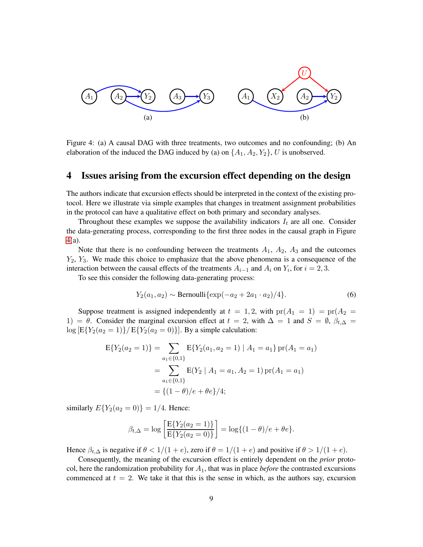<span id="page-8-0"></span>

Figure 4: (a) A causal DAG with three treatments, two outcomes and no confounding; (b) An elaboration of the induced the DAG induced by (a) on  $\{A_1, A_2, Y_2\}$ , U is unobserved.

## 4 Issues arising from the excursion effect depending on the design

The authors indicate that excursion effects should be interpreted in the context of the existing protocol. Here we illustrate via simple examples that changes in treatment assignment probabilities in the protocol can have a qualitative effect on both primary and secondary analyses.

Throughout these examples we suppose the availability indicators  $I_t$  are all one. Consider the data-generating process, corresponding to the first three nodes in the causal graph in Figure [4\(](#page-8-0)a).

Note that there is no confounding between the treatments  $A_1$ ,  $A_2$ ,  $A_3$  and the outcomes  $Y_2$ ,  $Y_3$ . We made this choice to emphasize that the above phenomena is a consequence of the interaction between the causal effects of the treatments  $A_{i-1}$  and  $A_i$  on  $Y_i$ , for  $i = 2, 3$ .

To see this consider the following data-generating process:

<span id="page-8-1"></span>
$$
Y_2(a_1, a_2) \sim \text{Bernoulli}\{\exp(-a_2 + 2a_1 \cdot a_2)/4\}.\tag{6}
$$

Suppose treatment is assigned independently at  $t = 1, 2$ , with  $pr(A_1 = 1) = pr(A_2 = 1)$ 1) =  $\theta$ . Consider the marginal excursion effect at  $t = 2$ , with  $\Delta = 1$  and  $S = \emptyset$ ,  $\beta_{t,\Delta} =$  $\log [E\{Y_2(a_2 = 1)\} / E\{Y_2(a_2 = 0)\}]$ . By a simple calculation:

$$
E{Y2(a2 = 1)} = \sum_{a_1 \in \{0,1\}} E{Y2(a1, a2 = 1) | A1 = a1} pr(A1 = a1)}
$$
  
= 
$$
\sum_{a_1 \in \{0,1\}} E(Y_2 | A_1 = a_1, A_2 = 1) pr(A_1 = a_1)
$$
  
= 
$$
\{(1 - \theta)/e + \theta e\}/4;
$$

similarly  $E{Y_2(a_2 = 0)} = 1/4$ . Hence:

$$
\beta_{t,\Delta} = \log \left[ \frac{E\{Y_2(a_2 = 1)\}}{E\{Y_2(a_2 = 0)\}} \right] = \log \{(1 - \theta)/e + \theta e\}.
$$

Hence  $\beta_{t,\Delta}$  is negative if  $\theta < 1/(1+e)$ , zero if  $\theta = 1/(1+e)$  and positive if  $\theta > 1/(1+e)$ .

Consequently, the meaning of the excursion effect is entirely dependent on the *prior* protocol, here the randomization probability for  $A_1$ , that was in place *before* the contrasted excursions commenced at  $t = 2$ . We take it that this is the sense in which, as the authors say, excursion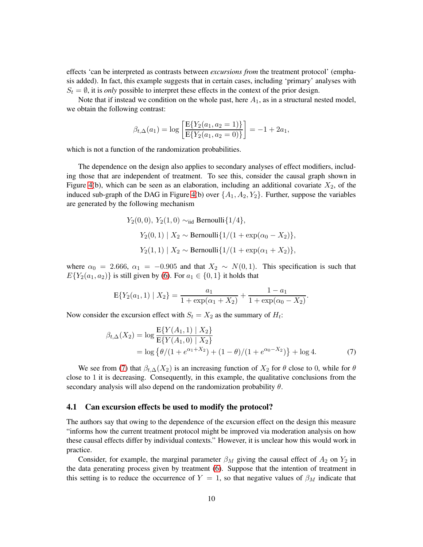effects 'can be interpreted as contrasts between *excursions from* the treatment protocol' (emphasis added). In fact, this example suggests that in certain cases, including 'primary' analyses with  $S_t = \emptyset$ , it is *only* possible to interpret these effects in the context of the prior design.

Note that if instead we condition on the whole past, here  $A_1$ , as in a structural nested model, we obtain the following contrast:

$$
\beta_{t,\Delta}(a_1) = \log \left[ \frac{\mathbb{E}\{Y_2(a_1, a_2 = 1)\}}{\mathbb{E}\{Y_2(a_1, a_2 = 0)\}} \right] = -1 + 2a_1,
$$

which is not a function of the randomization probabilities.

The dependence on the design also applies to secondary analyses of effect modifiers, including those that are independent of treatment. To see this, consider the causal graph shown in Figure [4\(](#page-8-0)b), which can be seen as an elaboration, including an additional covariate  $X_2$ , of the induced sub-graph of the DAG in Figure [4\(](#page-8-0)b) over  $\{A_1, A_2, Y_2\}$ . Further, suppose the variables are generated by the following mechanism

$$
Y_2(0,0), Y_2(1,0) \sim_{\text{iid}} \text{Bernoulli}\{1/4\},
$$
  
\n
$$
Y_2(0,1) | X_2 \sim \text{Bernoulli}\{1/(1 + \exp(\alpha_0 - X_2)\},
$$
  
\n
$$
Y_2(1,1) | X_2 \sim \text{Bernoulli}\{1/(1 + \exp(\alpha_1 + X_2)\},
$$

where  $\alpha_0 = 2.666$ ,  $\alpha_1 = -0.905$  and that  $X_2 \sim N(0, 1)$ . This specification is such that  $E{Y_2(a_1, a_2)}$  is still given by [\(6\)](#page-8-1). For  $a_1 \in \{0, 1\}$  it holds that

<span id="page-9-0"></span>
$$
E\{Y_2(a_1, 1) | X_2\} = \frac{a_1}{1 + \exp(\alpha_1 + X_2)} + \frac{1 - a_1}{1 + \exp(\alpha_0 - X_2)}.
$$

Now consider the excursion effect with  $S_t = X_2$  as the summary of  $H_t$ :

$$
\beta_{t,\Delta}(X_2) = \log \frac{E\{Y(A_1, 1) \mid X_2\}}{E\{Y(A_1, 0) \mid X_2\}} \n= \log \{\theta/(1 + e^{\alpha_1 + X_2}) + (1 - \theta)/(1 + e^{\alpha_0 - X_2})\} + \log 4.
$$
\n(7)

We see from [\(7\)](#page-9-0) that  $\beta_{t,\Delta}(X_2)$  is an increasing function of  $X_2$  for  $\theta$  close to 0, while for  $\theta$ close to 1 it is decreasing. Consequently, in this example, the qualitative conclusions from the secondary analysis will also depend on the randomization probability  $\theta$ .

#### 4.1 Can excursion effects be used to modify the protocol?

The authors say that owing to the dependence of the excursion effect on the design this measure "informs how the current treatment protocol might be improved via moderation analysis on how these causal effects differ by individual contexts." However, it is unclear how this would work in practice.

Consider, for example, the marginal parameter  $\beta_M$  giving the causal effect of  $A_2$  on  $Y_2$  in the data generating process given by treatment [\(6\)](#page-8-1). Suppose that the intention of treatment in this setting is to reduce the occurrence of  $Y = 1$ , so that negative values of  $\beta_M$  indicate that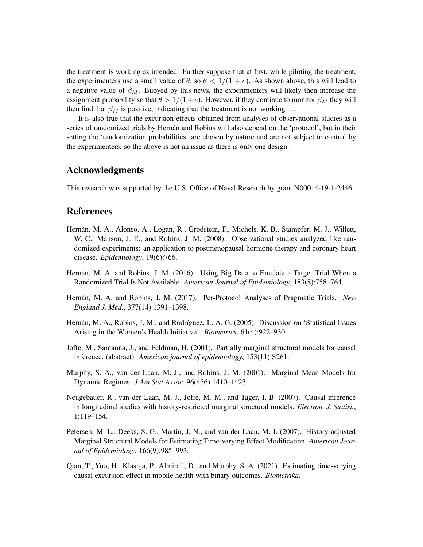the treatment is working as intended. Further suppose that at first, while piloting the treatment, the experimenters use a small value of  $\theta$ , so  $\theta < 1/(1 + e)$ . As shown above, this will lead to a negative value of  $\beta_M$ . Buoyed by this news, the experimenters will likely then increase the assignment probability so that  $\theta > 1/(1+e)$ . However, if they continue to monitor  $\beta_M$  they will then find that  $\beta_M$  is positive, indicating that the treatment is not working ...

It is also true that the excursion effects obtained from analyses of observational studies as a series of randomized trials by Hernán and Robins will also depend on the 'protocol', but in their setting the 'randomization probabilities' are chosen by nature and are not subject to control by the experimenters, so the above is not an issue as there is only one design.

#### Acknowledgments

This research was supported by the U.S. Office of Naval Research by grant N00014-19-1-2446.

## References

- <span id="page-10-1"></span>Hernán, M. A., Alonso, A., Logan, R., Grodstein, F., Michels, K. B., Stampfer, M. J., Willett, W. C., Manson, J. E., and Robins, J. M. (2008). Observational studies analyzed like randomized experiments: an application to postmenopausal hormone therapy and coronary heart disease. *Epidemiology*, 19(6):766.
- <span id="page-10-3"></span>Hernán, M. A. and Robins, J. M. (2016). Using Big Data to Emulate a Target Trial When a Randomized Trial Is Not Available. *American Journal of Epidemiology*, 183(8):758–764.
- <span id="page-10-2"></span>Hernán, M. A. and Robins, J. M. (2017). Per-Protocol Analyses of Pragmatic Trials. *New England J. Med.*, 377(14):1391–1398.
- <span id="page-10-0"></span>Hernán, M. A., Robins, J. M., and Rodríguez, L. A. G. (2005). Discussion on 'Statistical Issues Arising in the Women's Health Initiative'. *Biometrics*, 61(4):922–930.
- <span id="page-10-5"></span>Joffe, M., Santanna, J., and Feldman, H. (2001). Partially marginal structural models for causal inference. (abstract). *American journal of epidemiology*, 153(11):S261.
- <span id="page-10-8"></span>Murphy, S. A., van der Laan, M. J., and Robins, J. M. (2001). Marginal Mean Models for Dynamic Regimes. *J Am Stat Assoc*, 96(456):1410–1423.
- <span id="page-10-4"></span>Neugebauer, R., van der Laan, M. J., Joffe, M. M., and Tager, I. B. (2007). Causal inference in longitudinal studies with history-restricted marginal structural models. *Electron. J. Statist.*, 1:119–154.
- <span id="page-10-6"></span>Petersen, M. L., Deeks, S. G., Martin, J. N., and van der Laan, M. J. (2007). History-adjusted Marginal Structural Models for Estimating Time-varying Effect Modification. *American Journal of Epidemiology*, 166(9):985–993.
- <span id="page-10-7"></span>Qian, T., Yoo, H., Klasnja, P., Almirall, D., and Murphy, S. A. (2021). Estimating time-varying causal excursion effect in mobile health with binary outcomes. *Biometrika*.